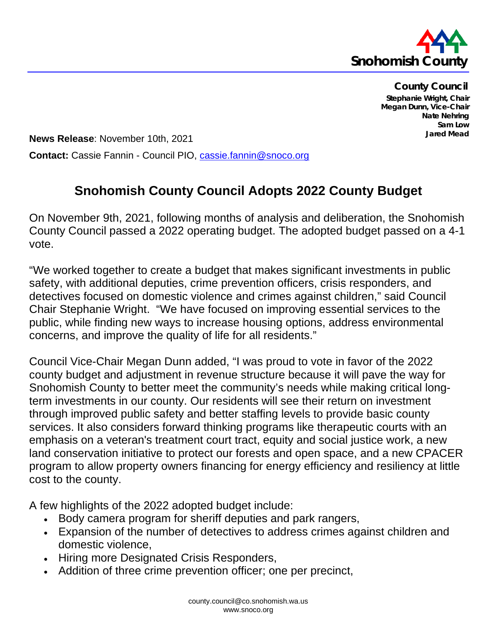

**County Council Stephanie Wright, Chair Megan Dunn, Vice-Chair Nate Nehring Sam Low Jared Mead**

**News Release**: November 10th, 2021 **Contact:** Cassie Fannin - Council PIO, [cassie.fannin@snoco.org](mailto:cassie.fannin@snoco.org)

## **Snohomish County Council Adopts 2022 County Budget**

On November 9th, 2021, following months of analysis and deliberation, the Snohomish County Council passed a 2022 operating budget. The adopted budget passed on a 4-1 vote.

"We worked together to create a budget that makes significant investments in public safety, with additional deputies, crime prevention officers, crisis responders, and detectives focused on domestic violence and crimes against children," said Council Chair Stephanie Wright. "We have focused on improving essential services to the public, while finding new ways to increase housing options, address environmental concerns, and improve the quality of life for all residents."

Council Vice-Chair Megan Dunn added, "I was proud to vote in favor of the 2022 county budget and adjustment in revenue structure because it will pave the way for Snohomish County to better meet the community's needs while making critical longterm investments in our county. Our residents will see their return on investment through improved public safety and better staffing levels to provide basic county services. It also considers forward thinking programs like therapeutic courts with an emphasis on a veteran's treatment court tract, equity and social justice work, a new land conservation initiative to protect our forests and open space, and a new CPACER program to allow property owners financing for energy efficiency and resiliency at little cost to the county.

A few highlights of the 2022 adopted budget include:

- Body camera program for sheriff deputies and park rangers,
- Expansion of the number of detectives to address crimes against children and domestic violence,
- Hiring more Designated Crisis Responders,
- Addition of three crime prevention officer; one per precinct,